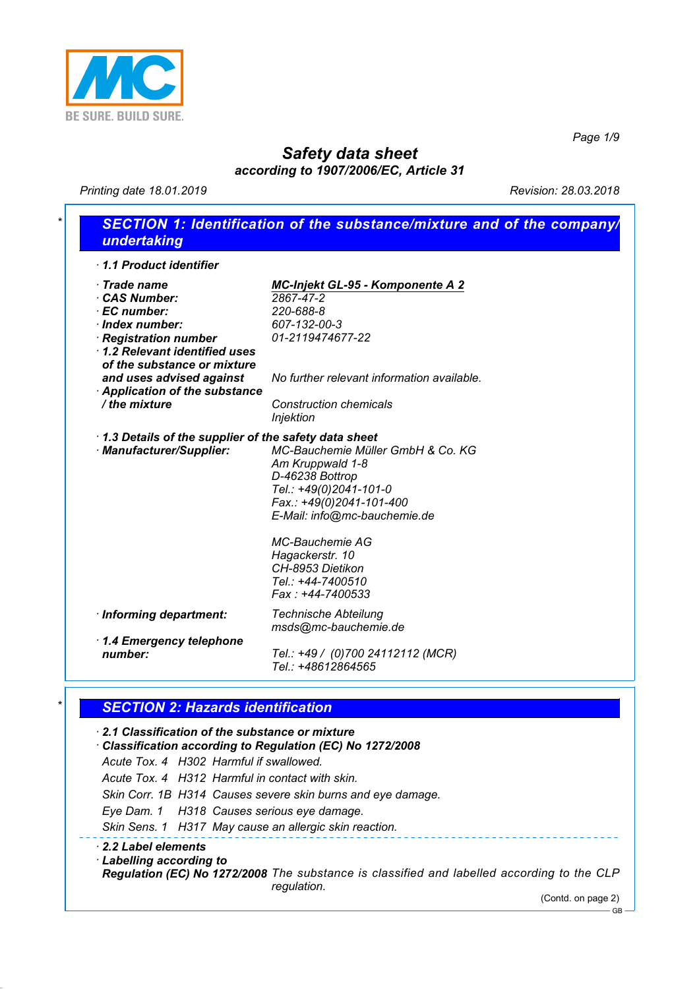

*Page 1/9*

## *Safety data sheet according to 1907/2006/EC, Article 31*

*Printing date 18.01.2019 Revision: 28.03.2018*

# *\* SECTION 1: Identification of the substance/mixture and of the company/ undertaking*

| 1.1 Product identifier                                                                                                                                                    |                                                                                                                                                                                                                                                                          |
|---------------------------------------------------------------------------------------------------------------------------------------------------------------------------|--------------------------------------------------------------------------------------------------------------------------------------------------------------------------------------------------------------------------------------------------------------------------|
| $\cdot$ Trade name<br><b>CAS Number:</b><br>· EC number:<br>$\cdot$ Index number:<br>· Registration number<br>1.2 Relevant identified uses<br>of the substance or mixture | <b>MC-Injekt GL-95 - Komponente A 2</b><br>2867-47-2<br>220-688-8<br>607-132-00-3<br>01-2119474677-22                                                                                                                                                                    |
| and uses advised against<br>Application of the substance<br>/ the mixture                                                                                                 | No further relevant information available.<br><b>Construction chemicals</b><br>Injektion                                                                                                                                                                                 |
| 1.3 Details of the supplier of the safety data sheet<br>· Manufacturer/Supplier:                                                                                          | MC-Bauchemie Müller GmbH & Co. KG<br>Am Kruppwald 1-8<br>D-46238 Bottrop<br>Tel.: +49(0)2041-101-0<br>Fax.: +49(0)2041-101-400<br>E-Mail: info@mc-bauchemie.de<br><b>MC-Bauchemie AG</b><br>Hagackerstr. 10<br>CH-8953 Dietikon<br>Tel.: +44-7400510<br>Fax: +44-7400533 |
| · Informing department:                                                                                                                                                   | <b>Technische Abteilung</b><br>msds@mc-bauchemie.de                                                                                                                                                                                                                      |
| 1.4 Emergency telephone<br>number:                                                                                                                                        | Tel.: +49 / (0)700 24112112 (MCR)<br>Tel.: +48612864565                                                                                                                                                                                                                  |

### *\* SECTION 2: Hazards identification*

#### *· 2.1 Classification of the substance or mixture · Classification according to Regulation (EC) No 1272/2008 Acute Tox. 4 H302 Harmful if swallowed. Acute Tox. 4 H312 Harmful in contact with skin. Skin Corr. 1B H314 Causes severe skin burns and eye damage. Eye Dam. 1 H318 Causes serious eye damage. Skin Sens. 1 H317 May cause an allergic skin reaction. · 2.2 Label elements · Labelling according to Regulation (EC) No 1272/2008 The substance is classified and labelled according to the CLP regulation.*

(Contd. on page 2)

GB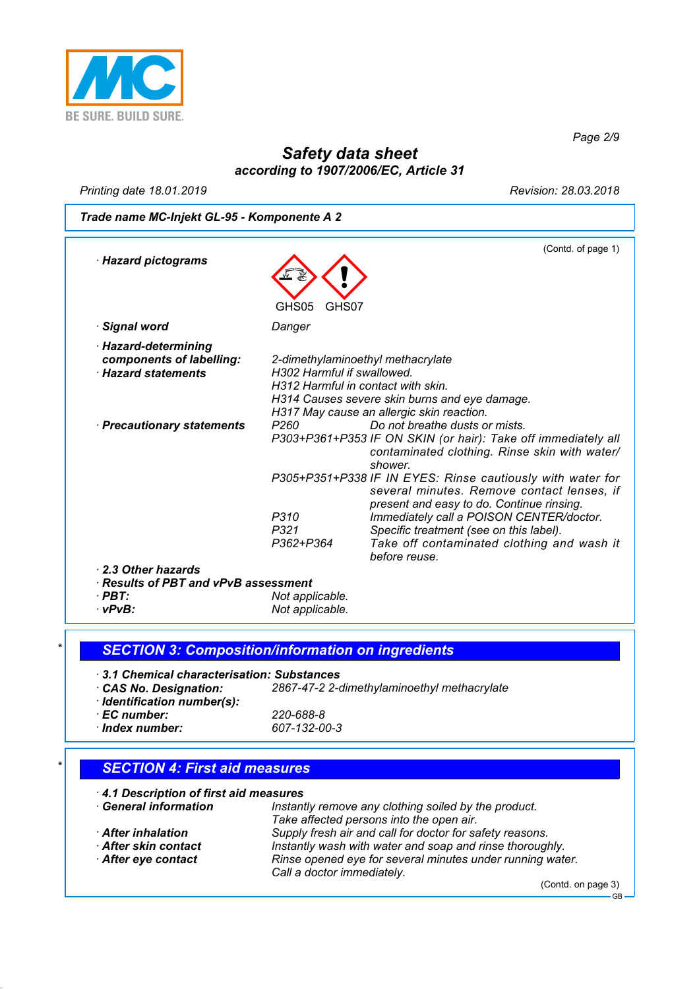

*Page 2/9*

## *Safety data sheet according to 1907/2006/EC, Article 31*

*Printing date 18.01.2019 Revision: 28.03.2018*

*Trade name MC-Injekt GL-95 - Komponente A 2*

| $\cdot$ Hazard pictograms                                                    |                                                                  | (Contd. of page 1)                                                                                                                                          |
|------------------------------------------------------------------------------|------------------------------------------------------------------|-------------------------------------------------------------------------------------------------------------------------------------------------------------|
|                                                                              | GHS05<br>GHS07                                                   |                                                                                                                                                             |
| · Signal word                                                                | Danger                                                           |                                                                                                                                                             |
| · Hazard-determining<br>components of labelling:<br><b>Hazard statements</b> | H302 Harmful if swallowed.<br>H312 Harmful in contact with skin. | 2-dimethylaminoethyl methacrylate<br>H314 Causes severe skin burns and eye damage.<br>H317 May cause an allergic skin reaction.                             |
| · Precautionary statements                                                   | P <sub>260</sub>                                                 | Do not breathe dusts or mists.<br>P303+P361+P353 IF ON SKIN (or hair): Take off immediately all<br>contaminated clothing. Rinse skin with water/<br>shower. |
|                                                                              |                                                                  | P305+P351+P338 IF IN EYES: Rinse cautiously with water for<br>several minutes. Remove contact lenses, if<br>present and easy to do. Continue rinsing.       |
|                                                                              | P310<br>P321<br>P362+P364                                        | Immediately call a POISON CENTER/doctor.<br>Specific treatment (see on this label).<br>Take off contaminated clothing and wash it<br>before reuse.          |
| 2.3 Other hazards                                                            |                                                                  |                                                                                                                                                             |
| $\cdot$ Results of PBT and vPvB assessment                                   |                                                                  |                                                                                                                                                             |
| $\cdot$ PBT:<br>$\cdot$ . D $\cdot$ .                                        | Not applicable.<br>Not condicable                                |                                                                                                                                                             |

*· vPvB: Not applicable.*

*\* SECTION 3: Composition/information on ingredients*

| 3.1 Chemical characterisation: Substances |                                             |
|-------------------------------------------|---------------------------------------------|
| CAS No. Designation:                      | 2867-47-2 2-dimethylaminoethyl methacrylate |
| · Identification number(s):               |                                             |
| · EC number:                              | 220-688-8                                   |
| $\cdot$ Index number:                     | 607-132-00-3                                |
|                                           |                                             |

### *\* SECTION 4: First aid measures*

| 4.1 Description of first aid measures |                                                                                         |  |  |
|---------------------------------------|-----------------------------------------------------------------------------------------|--|--|
| <b>General information</b>            | Instantly remove any clothing soiled by the product.                                    |  |  |
|                                       | Take affected persons into the open air.                                                |  |  |
| <b>After inhalation</b>               | Supply fresh air and call for doctor for safety reasons.                                |  |  |
| After skin contact                    | Instantly wash with water and soap and rinse thoroughly.                                |  |  |
| After eye contact                     | Rinse opened eye for several minutes under running water.<br>Call a doctor immediately. |  |  |

(Contd. on page 3)

GB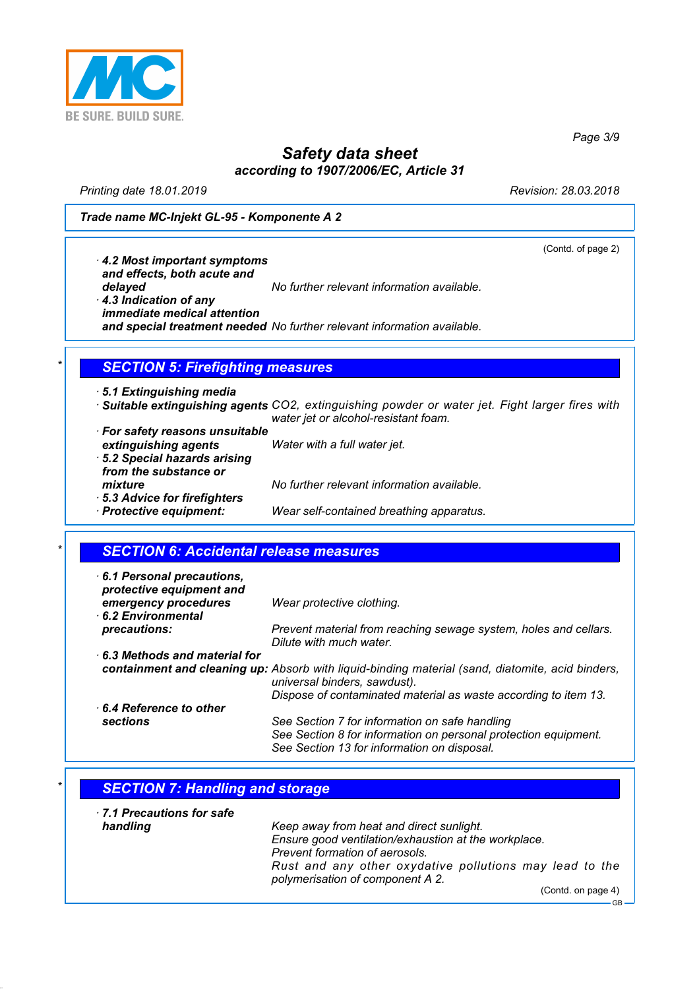

*Page 3/9*

# *Safety data sheet according to 1907/2006/EC, Article 31*

*Printing date 18.01.2019 Revision: 28.03.2018*

#### *Trade name MC-Injekt GL-95 - Komponente A 2*

(Contd. of page 2)

GB

*· 4.2 Most important symptoms and effects, both acute and delayed No further relevant information available.*

*· 4.3 Indication of any immediate medical attention and special treatment needed No further relevant information available.*

### *\* SECTION 5: Firefighting measures*

*· 5.1 Extinguishing media*

- *· Suitable extinguishing agents CO2, extinguishing powder or water jet. Fight larger fires with water jet or alcohol-resistant foam.*
- *· For safety reasons unsuitable extinguishing agents Water with a full water jet. · 5.2 Special hazards arising from the substance or mixture No further relevant information available. · 5.3 Advice for firefighters Wear self-contained breathing apparatus.*

### *\* SECTION 6: Accidental release measures*

| 6.1 Personal precautions,<br>protective equipment and |                                                                                                                                                                  |
|-------------------------------------------------------|------------------------------------------------------------------------------------------------------------------------------------------------------------------|
| emergency procedures<br>6.2 Environmental             | Wear protective clothing.                                                                                                                                        |
| precautions:                                          | Prevent material from reaching sewage system, holes and cellars.<br>Dilute with much water.                                                                      |
| $\cdot$ 6.3 Methods and material for                  |                                                                                                                                                                  |
|                                                       | containment and cleaning up: Absorb with liquid-binding material (sand, diatomite, acid binders,<br>universal binders, sawdust).                                 |
|                                                       | Dispose of contaminated material as waste according to item 13.                                                                                                  |
| $\cdot$ 6.4 Reference to other                        |                                                                                                                                                                  |
| sections                                              | See Section 7 for information on safe handling<br>See Section 8 for information on personal protection equipment.<br>See Section 13 for information on disposal. |

- *\* SECTION 7: Handling and storage · 7.1 Precautions for safe*
- *handling Keep away from heat and direct sunlight. Ensure good ventilation/exhaustion at the workplace. Prevent formation of aerosols. Rust and any other oxydative pollutions may lead to the polymerisation of component A 2.* (Contd. on page 4)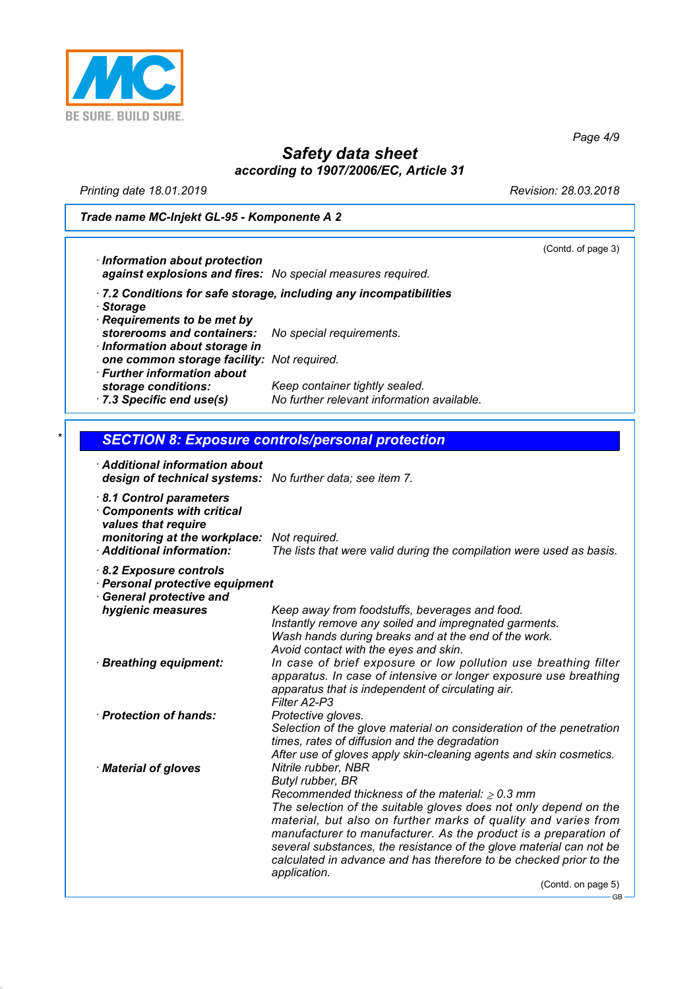

*Page 4/9*

# *Safety data sheet according to 1907/2006/EC, Article 31*

*Printing date 18.01.2019 Revision: 28.03.2018*

*Trade name MC-Injekt GL-95 - Komponente A 2*

(Contd. of page 3)

| · Information about protection<br>against explosions and fires: No special measures required. |                                                                   |
|-----------------------------------------------------------------------------------------------|-------------------------------------------------------------------|
| · Storage<br>· Requirements to be met by                                                      | .7.2 Conditions for safe storage, including any incompatibilities |
| storerooms and containers:<br>· Information about storage in                                  | No special requirements.                                          |
| one common storage facility: Not required.                                                    |                                                                   |

*· Further information about storage conditions: Keep container tightly sealed. · 7.3 Specific end use(s) No further relevant information available.*

| $\star$ I |  | <b>SECTION 8: Exposure controls/personal protection</b> |  |  |
|-----------|--|---------------------------------------------------------|--|--|
|           |  |                                                         |  |  |

| design of technical systems: No further data; see item 7.                                                                                                                                                                                                                                                                                                                                                                                                                                              |
|--------------------------------------------------------------------------------------------------------------------------------------------------------------------------------------------------------------------------------------------------------------------------------------------------------------------------------------------------------------------------------------------------------------------------------------------------------------------------------------------------------|
| monitoring at the workplace: Not required.<br>The lists that were valid during the compilation were used as basis.                                                                                                                                                                                                                                                                                                                                                                                     |
| · Personal protective equipment                                                                                                                                                                                                                                                                                                                                                                                                                                                                        |
| Keep away from foodstuffs, beverages and food.<br>Instantly remove any soiled and impregnated garments.<br>Wash hands during breaks and at the end of the work.<br>Avoid contact with the eyes and skin.                                                                                                                                                                                                                                                                                               |
| In case of brief exposure or low pollution use breathing filter<br>apparatus. In case of intensive or longer exposure use breathing<br>apparatus that is independent of circulating air.<br>Filter A2-P3                                                                                                                                                                                                                                                                                               |
| Protective gloves.<br>Selection of the glove material on consideration of the penetration<br>times, rates of diffusion and the degradation<br>After use of gloves apply skin-cleaning agents and skin cosmetics.                                                                                                                                                                                                                                                                                       |
| Nitrile rubber, NBR<br>Butyl rubber, BR<br>Recommended thickness of the material: $\geq 0.3$ mm<br>The selection of the suitable gloves does not only depend on the<br>material, but also on further marks of quality and varies from<br>manufacturer to manufacturer. As the product is a preparation of<br>several substances, the resistance of the glove material can not be<br>calculated in advance and has therefore to be checked prior to the<br>application.<br>(Contd. on page 5)<br>$GB -$ |
|                                                                                                                                                                                                                                                                                                                                                                                                                                                                                                        |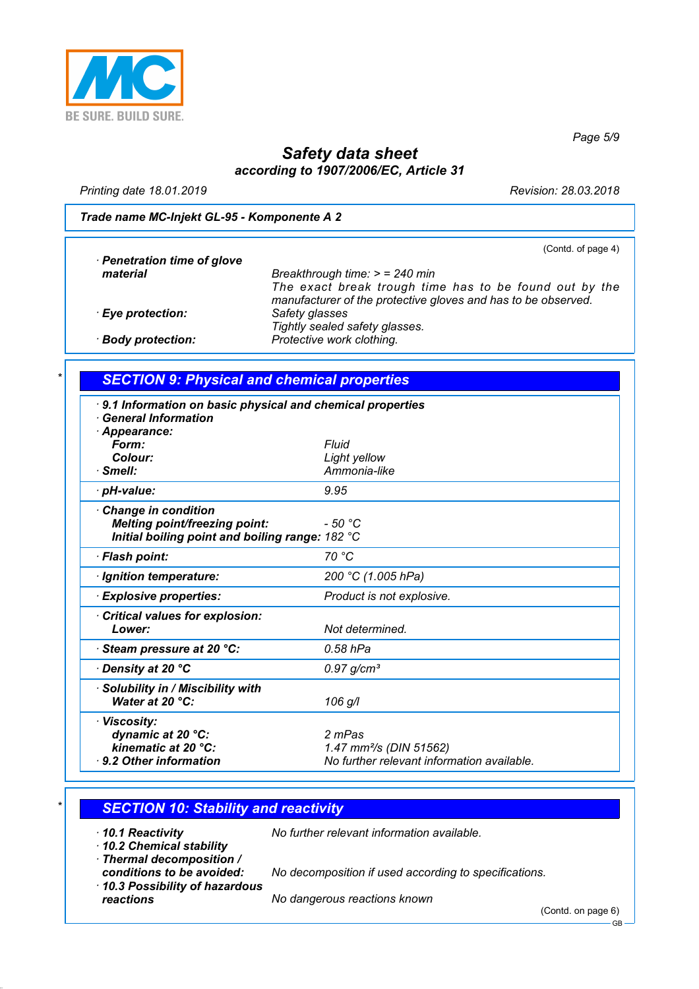

*Page 5/9*

# *Safety data sheet according to 1907/2006/EC, Article 31*

*Printing date 18.01.2019 Revision: 28.03.2018*

#### *Trade name MC-Injekt GL-95 - Komponente A 2*

(Contd. of page 4)

| · Penetration time of glove |                                                                                                                         |
|-----------------------------|-------------------------------------------------------------------------------------------------------------------------|
| material                    | Breakthrough time: $>$ = 240 min                                                                                        |
|                             | The exact break trough time has to be found out by the<br>manufacturer of the protective gloves and has to be observed. |
| · Eye protection:           | Safety glasses<br>Tightly sealed safety glasses.                                                                        |
| · Body protection:          | Protective work clothing.                                                                                               |

### *\* SECTION 9: Physical and chemical properties*

| 9.1 Information on basic physical and chemical properties<br><b>General Information</b> |                                            |
|-----------------------------------------------------------------------------------------|--------------------------------------------|
| · Appearance:                                                                           |                                            |
| Form:                                                                                   | Fluid                                      |
| Colour:                                                                                 | Light yellow                               |
| $\cdot$ Smell:                                                                          | Ammonia-like                               |
|                                                                                         |                                            |
| · pH-value:                                                                             | 9.95                                       |
| <b>Change in condition</b>                                                              |                                            |
| <b>Melting point/freezing point:</b>                                                    | $-50 °C$                                   |
| Initial boiling point and boiling range: 182 °C                                         |                                            |
|                                                                                         |                                            |
| · Flash point:                                                                          | 70 °C                                      |
| · Ignition temperature:                                                                 | 200 °C (1.005 hPa)                         |
| $\cdot$ Explosive properties:                                                           | Product is not explosive.                  |
| Critical values for explosion:                                                          |                                            |
| Lower:                                                                                  | Not determined.                            |
|                                                                                         |                                            |
| · Steam pressure at 20 °C:                                                              | 0.58 hPa                                   |
| ∙ Density at 20 °C                                                                      | $0.97$ g/cm <sup>3</sup>                   |
| · Solubility in / Miscibility with                                                      |                                            |
| Water at 20 °C:                                                                         | 106 g/l                                    |
|                                                                                         |                                            |
| · Viscosity:                                                                            |                                            |
| dynamic at 20 °C:                                                                       | 2 mPas                                     |
| kinematic at 20 °C:                                                                     | 1.47 mm <sup>2</sup> /s (DIN 51562)        |
| $\cdot$ 9.2 Other information                                                           | No further relevant information available. |
|                                                                                         |                                            |

### *\* SECTION 10: Stability and reactivity*

*· 10.2 Chemical stability*

*· 10.1 Reactivity No further relevant information available.*

- *· Thermal decomposition /*
- *· 10.3 Possibility of hazardous reactions No dangerous reactions known*

*conditions to be avoided: No decomposition if used according to specifications.*

(Contd. on page 6)

GB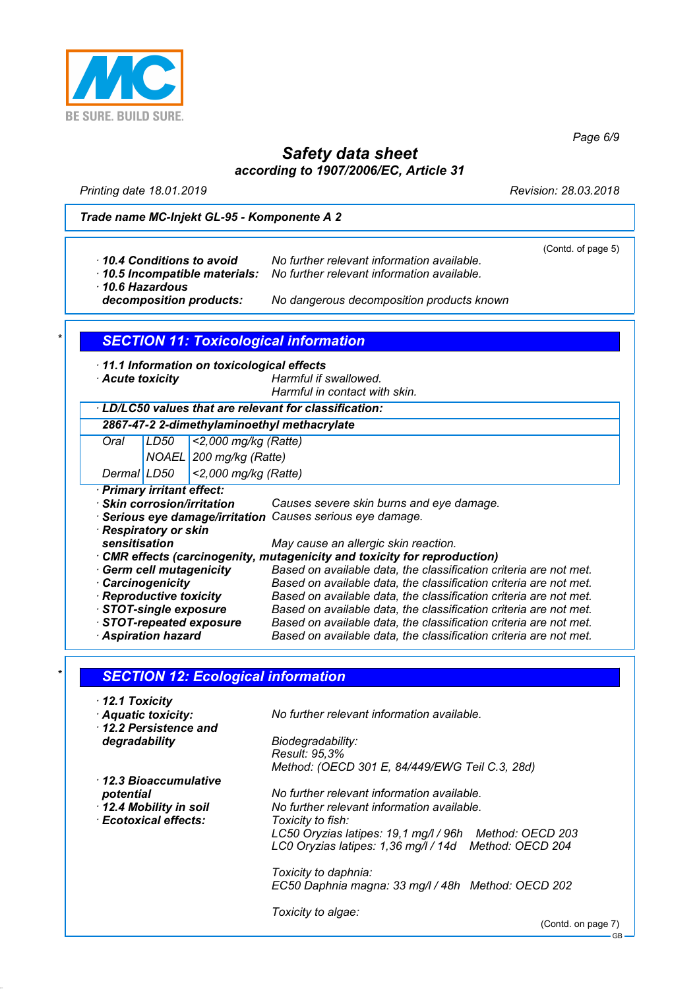

*Page 6/9*

# *Safety data sheet according to 1907/2006/EC, Article 31*

*Printing date 18.01.2019 Revision: 28.03.2018*

#### *Trade name MC-Injekt GL-95 - Komponente A 2*

|                                              |                         |                                                                                                                                        | (Contd. of page 5) |
|----------------------------------------------|-------------------------|----------------------------------------------------------------------------------------------------------------------------------------|--------------------|
| 10.4 Conditions to avoid                     |                         | No further relevant information available.                                                                                             |                    |
| · 10.5 Incompatible materials:               |                         | No further relevant information available.                                                                                             |                    |
| 10.6 Hazardous                               |                         |                                                                                                                                        |                    |
| decomposition products:                      |                         | No dangerous decomposition products known                                                                                              |                    |
|                                              |                         |                                                                                                                                        |                    |
|                                              |                         | <b>SECTION 11: Toxicological information</b>                                                                                           |                    |
| · 11.1 Information on toxicological effects  |                         |                                                                                                                                        |                    |
| Acute toxicity                               |                         | Harmful if swallowed.                                                                                                                  |                    |
|                                              |                         | Harmful in contact with skin.                                                                                                          |                    |
|                                              |                         | · LD/LC50 values that are relevant for classification:                                                                                 |                    |
|                                              |                         | 2867-47-2 2-dimethylaminoethyl methacrylate                                                                                            |                    |
| Oral<br>LD50                                 | <2,000 mg/kg (Ratte)    |                                                                                                                                        |                    |
|                                              | NOAEL 200 mg/kg (Ratte) |                                                                                                                                        |                    |
| Dermal LD50                                  | <2,000 mg/kg (Ratte)    |                                                                                                                                        |                    |
| · Primary irritant effect:                   |                         |                                                                                                                                        |                    |
| · Skin corrosion/irritation                  |                         | Causes severe skin burns and eye damage.                                                                                               |                    |
|                                              |                         | Serious eye damage/irritation Causes serious eye damage.                                                                               |                    |
| · Respiratory or skin                        |                         |                                                                                                                                        |                    |
| sensitisation                                |                         | May cause an allergic skin reaction.                                                                                                   |                    |
|                                              |                         | CMR effects (carcinogenity, mutagenicity and toxicity for reproduction)                                                                |                    |
| · Germ cell mutagenicity                     |                         | Based on available data, the classification criteria are not met.<br>Based on available data, the classification criteria are not met. |                    |
| · Carcinogenicity<br>· Reproductive toxicity |                         | Based on available data, the classification criteria are not met.                                                                      |                    |
| STOT-single exposure                         |                         | Based on available data, the classification criteria are not met.                                                                      |                    |
| STOT-repeated exposure                       |                         | Based on available data, the classification criteria are not met.                                                                      |                    |
| <b>Aspiration hazard</b>                     |                         | Based on available data, the classification criteria are not met.                                                                      |                    |
|                                              |                         |                                                                                                                                        |                    |
| <b>SECTION 12: Ecological information</b>    |                         |                                                                                                                                        |                    |
| 12.1 Toxicity                                |                         |                                                                                                                                        |                    |
| Aquatic toxicity:                            |                         | No further relevant information available.                                                                                             |                    |
| 12.2 Persistence and                         |                         |                                                                                                                                        |                    |
| degradability                                |                         | Biodegradability:                                                                                                                      |                    |
|                                              |                         | Result: 95,3%                                                                                                                          |                    |
|                                              |                         | Method: (OECD 301 E, 84/449/EWG Teil C.3, 28d)                                                                                         |                    |
| · 12.3 Bioaccumulative                       |                         |                                                                                                                                        |                    |
| potential                                    |                         | No further relevant information available.                                                                                             |                    |
| 12.4 Mobility in soil                        |                         | No further relevant information available.                                                                                             |                    |

*Toxicity to daphnia: EC50 Daphnia magna: 33 mg/l / 48h Method: OECD 202*

*LC50 Oryzias latipes: 19,1 mg/l / 96h Method: OECD 203 LC0 Oryzias latipes: 1,36 mg/l / 14d Method: OECD 204*

*Toxicity to algae:*

(Contd. on page 7) GB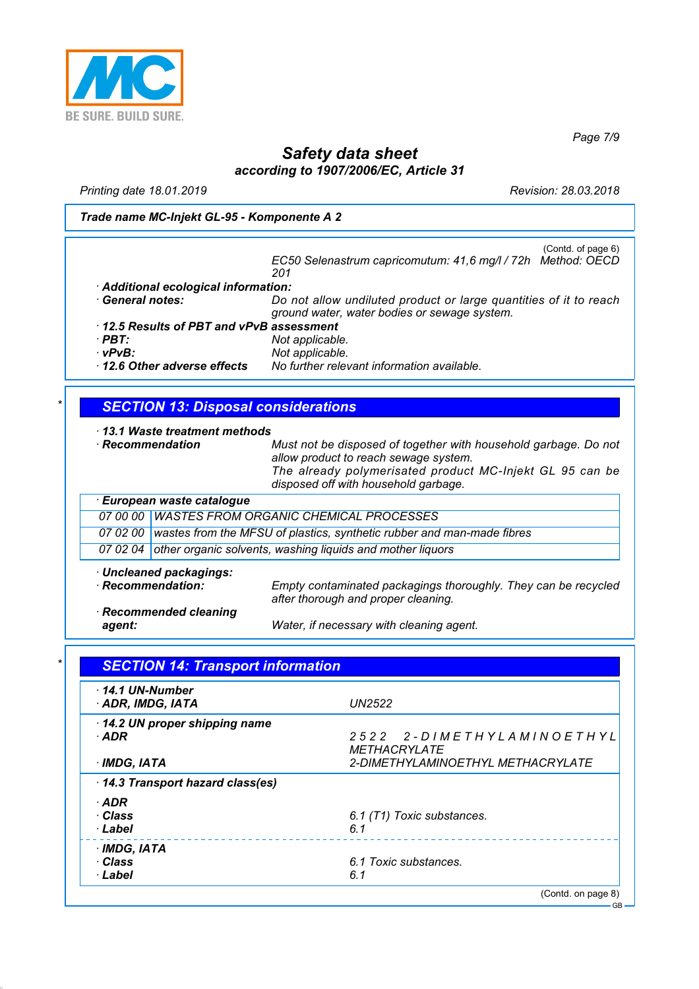

*Page 7/9*

# *Safety data sheet according to 1907/2006/EC, Article 31*

*Printing date 18.01.2019 Revision: 28.03.2018*

*Trade name MC-Injekt GL-95 - Komponente A 2*

(Contd. of page 6) *EC50 Selenastrum capricomutum: 41,6 mg/l / 72h Method: OECD 201 · Additional ecological information: · General notes: Do not allow undiluted product or large quantities of it to reach ground water, water bodies or sewage system. · 12.5 Results of PBT and vPvB assessment · PBT: Not applicable. · vPvB: Not applicable. · 12.6 Other adverse effects No further relevant information available.*

### *\* SECTION 13: Disposal considerations*

*· 13.1 Waste treatment methods*

*· Recommendation Must not be disposed of together with household garbage. Do not allow product to reach sewage system. The already polymerisated product MC-Injekt GL 95 can be disposed off with household garbage. · European waste catalogue*

|  | 07 00 00 WASTES FROM ORGANIC CHEMICAL PROCESSES                                 |
|--|---------------------------------------------------------------------------------|
|  | 07 02 00 wastes from the MFSU of plastics, synthetic rubber and man-made fibres |
|  | 07 02 04 other organic solvents, washing liquids and mother liquors             |
|  |                                                                                 |

*· Uncleaned packagings:*

*Empty contaminated packagings thoroughly. They can be recycled after thorough and proper cleaning.*

*· Recommended cleaning*

*agent: Water, if necessary with cleaning agent.*

| $\cdot$ 14.1 UN-Number<br>ADR, IMDG, IATA | <b>UN2522</b>                                    |
|-------------------------------------------|--------------------------------------------------|
| 14.2 UN proper shipping name<br>· ADR     | 2522 2-DIMETHYLAMINOETHYL<br><b>METHACRYLATE</b> |
| · IMDG, IATA                              | <i>2-DIMETHYLAMINOETHYL METHACRYLATE</i>         |
| 14.3 Transport hazard class(es)           |                                                  |
| · ADR                                     |                                                  |
| · Class                                   | 6.1 (T1) Toxic substances.                       |
| · Label                                   | 6.1                                              |
| · IMDG, IATA                              |                                                  |
| · Class                                   | 6.1 Toxic substances.                            |
| · Label                                   | 6.1                                              |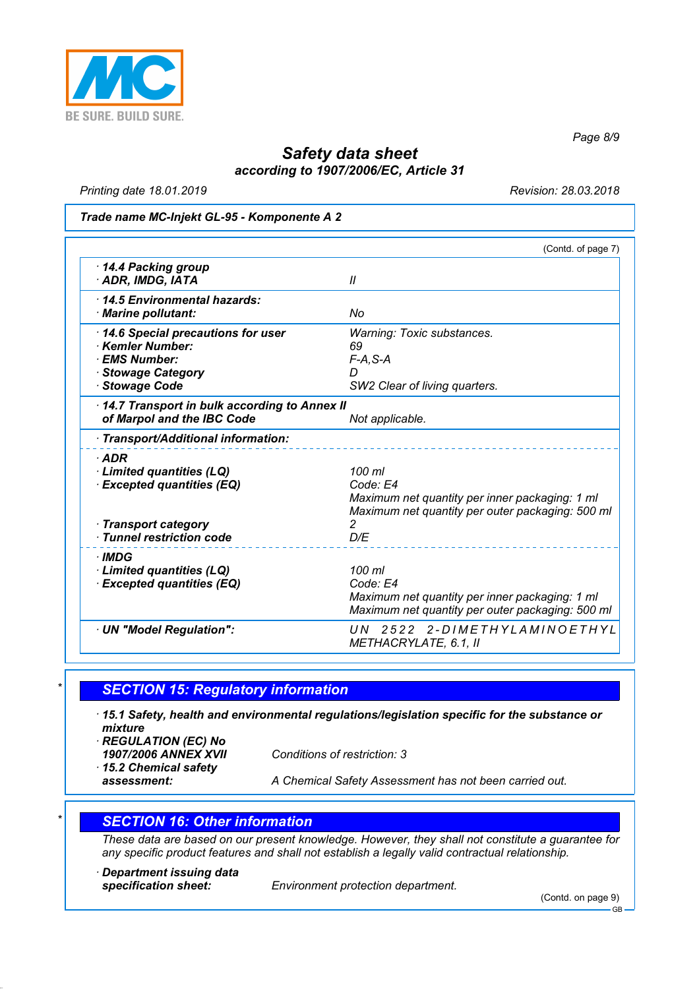

*Page 8/9*

## *Safety data sheet according to 1907/2006/EC, Article 31*

*Printing date 18.01.2019 Revision: 28.03.2018*

#### *Trade name MC-Injekt GL-95 - Komponente A 2*

|                                                                                                            | (Contd. of page 7)                                                                                                       |
|------------------------------------------------------------------------------------------------------------|--------------------------------------------------------------------------------------------------------------------------|
| 14.4 Packing group<br>· ADR, IMDG, IATA                                                                    | $\mathcal{U}$                                                                                                            |
| 14.5 Environmental hazards:<br>· Marine pollutant:                                                         | No                                                                                                                       |
| 14.6 Special precautions for user<br>Kemler Number:<br>· EMS Number:<br>· Stowage Category<br>Stowage Code | <b>Warning: Toxic substances.</b><br>69<br>$F-A, S-A$<br>D<br>SW2 Clear of living quarters.                              |
| 14.7 Transport in bulk according to Annex II<br>of Marpol and the IBC Code                                 | Not applicable.                                                                                                          |
| · Transport/Additional information:                                                                        |                                                                                                                          |
| $·$ ADR<br>Limited quantities (LQ)<br><b>Excepted quantities (EQ)</b>                                      | 100 ml<br>Code: E4<br>Maximum net quantity per inner packaging: 1 ml<br>Maximum net quantity per outer packaging: 500 ml |
| · Transport category<br>$\cdot$ Tunnel restriction code                                                    | 2<br>D/E                                                                                                                 |
| · IMDG<br>· Limited quantities (LQ)<br><b>Excepted quantities (EQ)</b>                                     | 100 ml<br>Code: E4<br>Maximum net quantity per inner packaging: 1 ml<br>Maximum net quantity per outer packaging: 500 ml |
| · UN "Model Regulation":                                                                                   | UN 2522 2-DIMETHYLAMINOETHYL<br>METHACRYLATE, 6.1, II                                                                    |

#### *\* SECTION 15: Regulatory information*

*· 15.1 Safety, health and environmental regulations/legislation specific for the substance or mixture*

- *· REGULATION (EC) No*
- *· 15.2 Chemical safety*

*1907/2006 ANNEX XVII Conditions of restriction: 3*

*assessment: A Chemical Safety Assessment has not been carried out.*

#### *\* SECTION 16: Other information*

*These data are based on our present knowledge. However, they shall not constitute a guarantee for any specific product features and shall not establish a legally valid contractual relationship.*

*· Department issuing data*

*specification sheet: Environment protection department.*

(Contd. on page 9)

GB